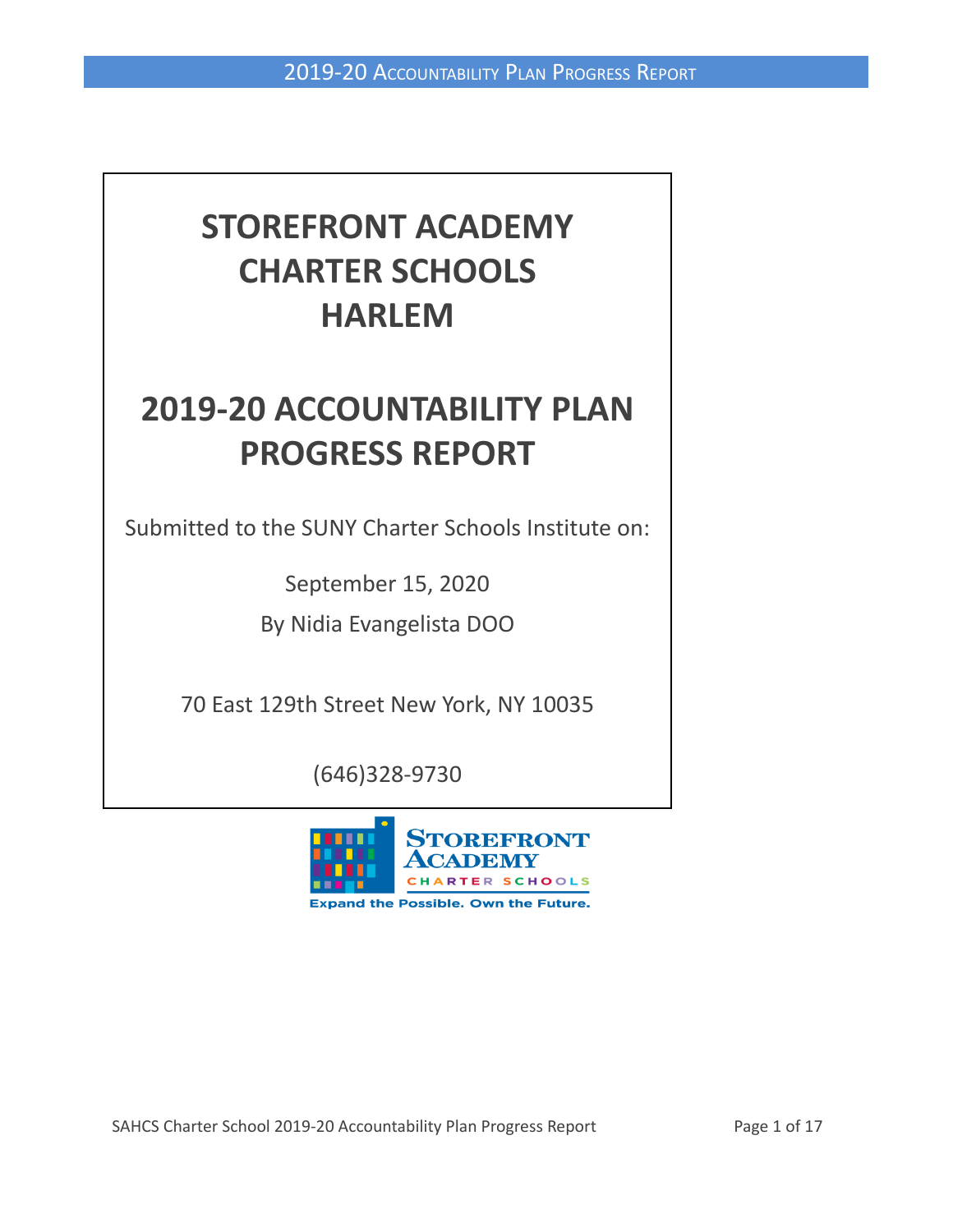# **STOREFRONT ACADEMY CHARTER SCHOOLS HARLEM**

# **2019-20 ACCOUNTABILITY PLAN PROGRESS REPORT**

Submitted to the SUNY Charter Schools Institute on:

September 15, 2020

By Nidia Evangelista DOO

70 East 129th Street New York, NY 10035

(646)328-9730

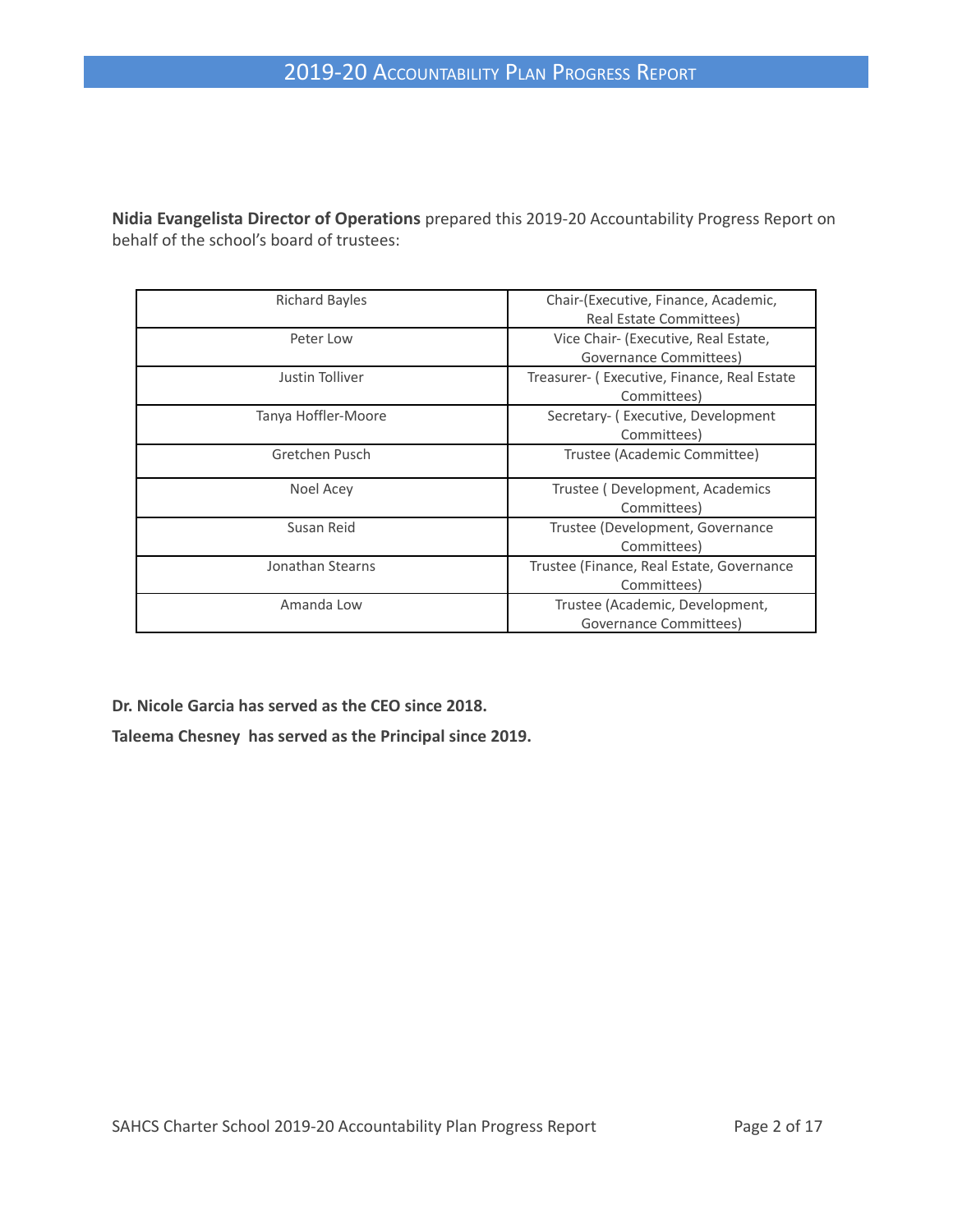**Nidia Evangelista Director of Operations** prepared this 2019-20 Accountability Progress Report on behalf of the school's board of trustees:

| <b>Richard Bayles</b> | Chair-(Executive, Finance, Academic,<br>Real Estate Committees) |
|-----------------------|-----------------------------------------------------------------|
| Peter Low             | Vice Chair- (Executive, Real Estate,<br>Governance Committees)  |
| Justin Tolliver       | Treasurer- (Executive, Finance, Real Estate<br>Committees)      |
| Tanya Hoffler-Moore   | Secretary- (Executive, Development<br>Committees)               |
| Gretchen Pusch        | Trustee (Academic Committee)                                    |
| Noel Acey             | Trustee (Development, Academics<br>Committees)                  |
| Susan Reid            | Trustee (Development, Governance<br>Committees)                 |
| Jonathan Stearns      | Trustee (Finance, Real Estate, Governance<br>Committees)        |
| Amanda Low            | Trustee (Academic, Development,<br>Governance Committees)       |

**Dr. Nicole Garcia has served as the CEO since 2018.**

**Taleema Chesney has served as the Principal since 2019.**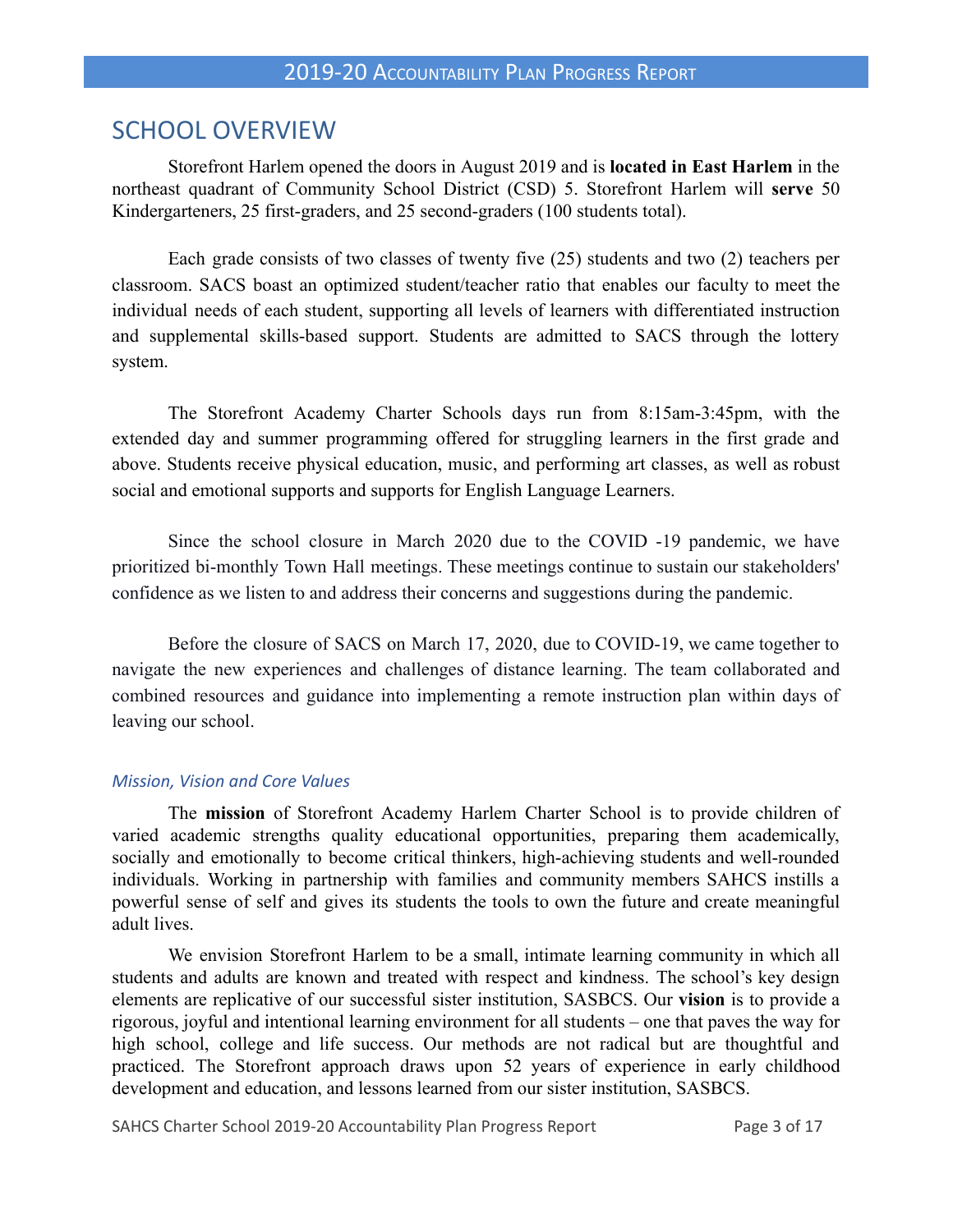## SCHOOL OVERVIEW

Storefront Harlem opened the doors in August 2019 and is **located in East Harlem** in the northeast quadrant of Community School District (CSD) 5. Storefront Harlem will **serve** 50 Kindergarteners, 25 first-graders, and 25 second-graders (100 students total).

Each grade consists of two classes of twenty five (25) students and two (2) teachers per classroom. SACS boast an optimized student/teacher ratio that enables our faculty to meet the individual needs of each student, supporting all levels of learners with differentiated instruction and supplemental skills-based support. Students are admitted to SACS through the lottery system.

The Storefront Academy Charter Schools days run from 8:15am-3:45pm, with the extended day and summer programming offered for struggling learners in the first grade and above. Students receive physical education, music, and performing art classes, as well as robust social and emotional supports and supports for English Language Learners.

Since the school closure in March 2020 due to the COVID -19 pandemic, we have prioritized bi-monthly Town Hall meetings. These meetings continue to sustain our stakeholders' confidence as we listen to and address their concerns and suggestions during the pandemic.

Before the closure of SACS on March 17, 2020, due to COVID-19, we came together to navigate the new experiences and challenges of distance learning. The team collaborated and combined resources and guidance into implementing a remote instruction plan within days of leaving our school.

#### *Mission, Vision and Core Values*

The **mission** of Storefront Academy Harlem Charter School is to provide children of varied academic strengths quality educational opportunities, preparing them academically, socially and emotionally to become critical thinkers, high-achieving students and well-rounded individuals. Working in partnership with families and community members SAHCS instills a powerful sense of self and gives its students the tools to own the future and create meaningful adult lives.

We envision Storefront Harlem to be a small, intimate learning community in which all students and adults are known and treated with respect and kindness. The school's key design elements are replicative of our successful sister institution, SASBCS. Our **vision** is to provide a rigorous, joyful and intentional learning environment for all students – one that paves the way for high school, college and life success. Our methods are not radical but are thoughtful and practiced. The Storefront approach draws upon 52 years of experience in early childhood development and education, and lessons learned from our sister institution, SASBCS.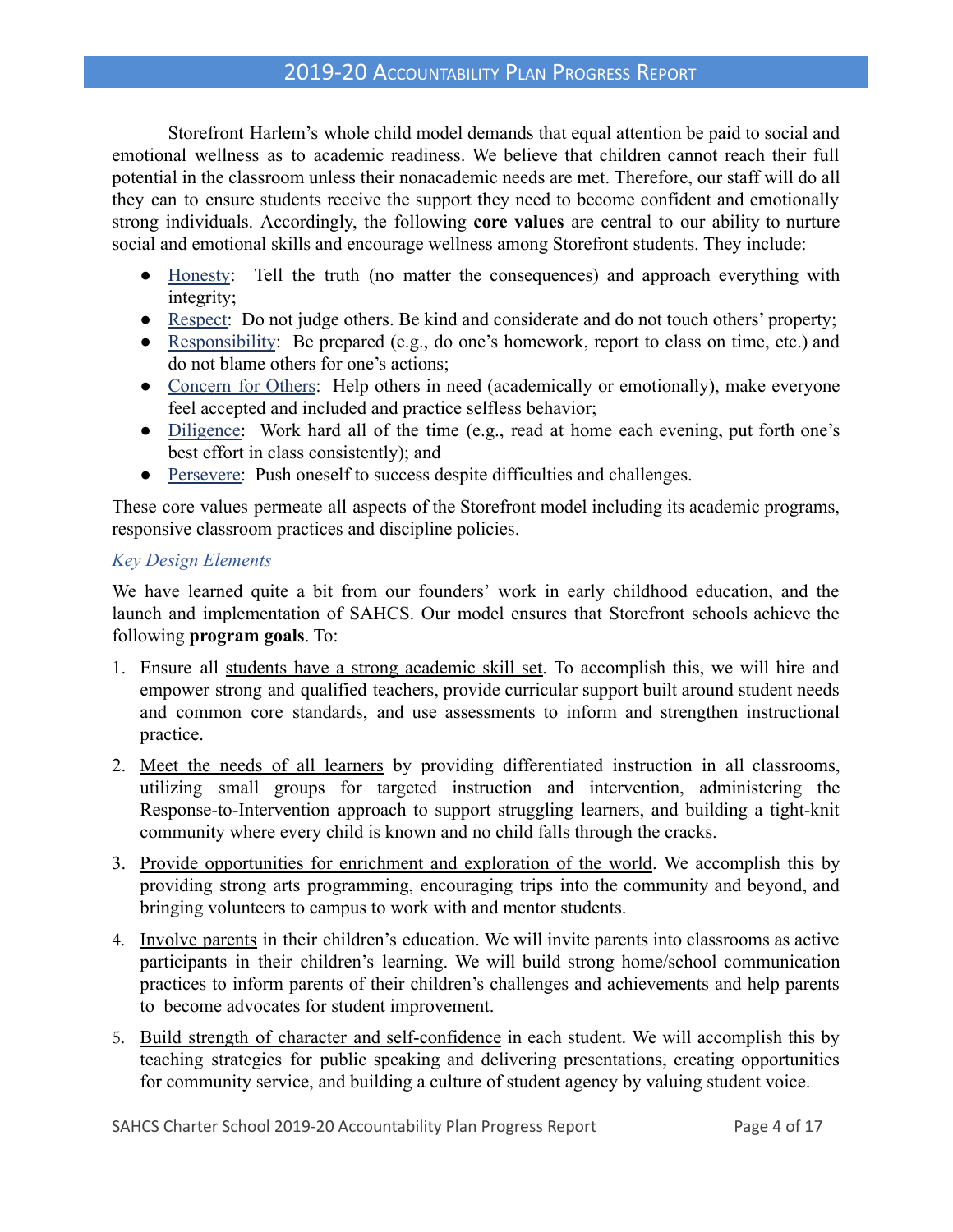Storefront Harlem's whole child model demands that equal attention be paid to social and emotional wellness as to academic readiness. We believe that children cannot reach their full potential in the classroom unless their nonacademic needs are met. Therefore, our staff will do all they can to ensure students receive the support they need to become confident and emotionally strong individuals. Accordingly, the following **core values** are central to our ability to nurture social and emotional skills and encourage wellness among Storefront students. They include:

- Honesty: Tell the truth (no matter the consequences) and approach everything with integrity;
- Respect: Do not judge others. Be kind and considerate and do not touch others' property;
- Responsibility: Be prepared (e.g., do one's homework, report to class on time, etc.) and do not blame others for one's actions;
- Concern for Others: Help others in need (academically or emotionally), make everyone feel accepted and included and practice selfless behavior;
- Diligence: Work hard all of the time (e.g., read at home each evening, put forth one's best effort in class consistently); and
- Persevere: Push oneself to success despite difficulties and challenges.

These core values permeate all aspects of the Storefront model including its academic programs, responsive classroom practices and discipline policies.

### *Key Design Elements*

We have learned quite a bit from our founders' work in early childhood education, and the launch and implementation of SAHCS. Our model ensures that Storefront schools achieve the following **program goals**. To:

- 1. Ensure all students have a strong academic skill set. To accomplish this, we will hire and empower strong and qualified teachers, provide curricular support built around student needs and common core standards, and use assessments to inform and strengthen instructional practice.
- 2. Meet the needs of all learners by providing differentiated instruction in all classrooms, utilizing small groups for targeted instruction and intervention, administering the Response-to-Intervention approach to support struggling learners, and building a tight-knit community where every child is known and no child falls through the cracks.
- 3. Provide opportunities for enrichment and exploration of the world. We accomplish this by providing strong arts programming, encouraging trips into the community and beyond, and bringing volunteers to campus to work with and mentor students.
- 4. Involve parents in their children's education. We will invite parents into classrooms as active participants in their children's learning. We will build strong home/school communication practices to inform parents of their children's challenges and achievements and help parents to become advocates for student improvement.
- 5. Build strength of character and self-confidence in each student. We will accomplish this by teaching strategies for public speaking and delivering presentations, creating opportunities for community service, and building a culture of student agency by valuing student voice.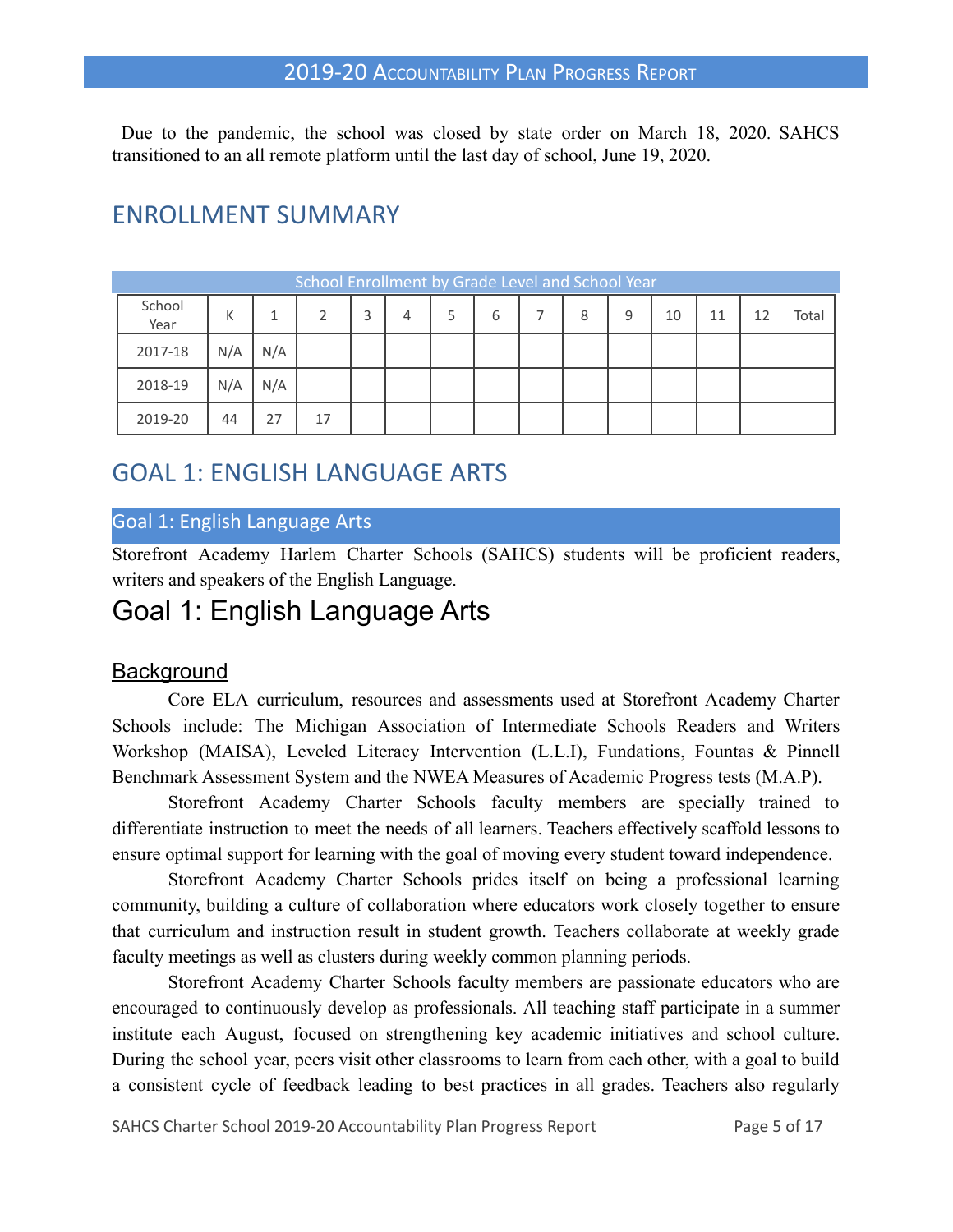Due to the pandemic, the school was closed by state order on March 18, 2020. SAHCS transitioned to an all remote platform until the last day of school, June 19, 2020.

# ENROLLMENT SUMMARY

| School Enrollment by Grade Level and School Year |     |     |    |  |   |  |   |  |   |    |    |    |       |
|--------------------------------------------------|-----|-----|----|--|---|--|---|--|---|----|----|----|-------|
| School<br>Year                                   | К   |     |    |  | 4 |  | h |  | 8 | 10 | 11 | 12 | Total |
| 2017-18                                          | N/A | N/A |    |  |   |  |   |  |   |    |    |    |       |
| 2018-19                                          | N/A | N/A |    |  |   |  |   |  |   |    |    |    |       |
| 2019-20                                          | 44  | 27  | 17 |  |   |  |   |  |   |    |    |    |       |

# GOAL 1: ENGLISH LANGUAGE ARTS

### Goal 1: English Language Arts

Storefront Academy Harlem Charter Schools (SAHCS) students will be proficient readers, writers and speakers of the English Language.

# Goal 1: English Language Arts

### **Background**

Core ELA curriculum, resources and assessments used at Storefront Academy Charter Schools include: The Michigan Association of Intermediate Schools Readers and Writers Workshop (MAISA), Leveled Literacy Intervention (L.L.I), Fundations, Fountas & Pinnell Benchmark Assessment System and the NWEA Measures of Academic Progress tests (M.A.P).

Storefront Academy Charter Schools faculty members are specially trained to differentiate instruction to meet the needs of all learners. Teachers effectively scaffold lessons to ensure optimal support for learning with the goal of moving every student toward independence.

Storefront Academy Charter Schools prides itself on being a professional learning community, building a culture of collaboration where educators work closely together to ensure that curriculum and instruction result in student growth. Teachers collaborate at weekly grade faculty meetings as well as clusters during weekly common planning periods.

Storefront Academy Charter Schools faculty members are passionate educators who are encouraged to continuously develop as professionals. All teaching staff participate in a summer institute each August, focused on strengthening key academic initiatives and school culture. During the school year, peers visit other classrooms to learn from each other, with a goal to build a consistent cycle of feedback leading to best practices in all grades. Teachers also regularly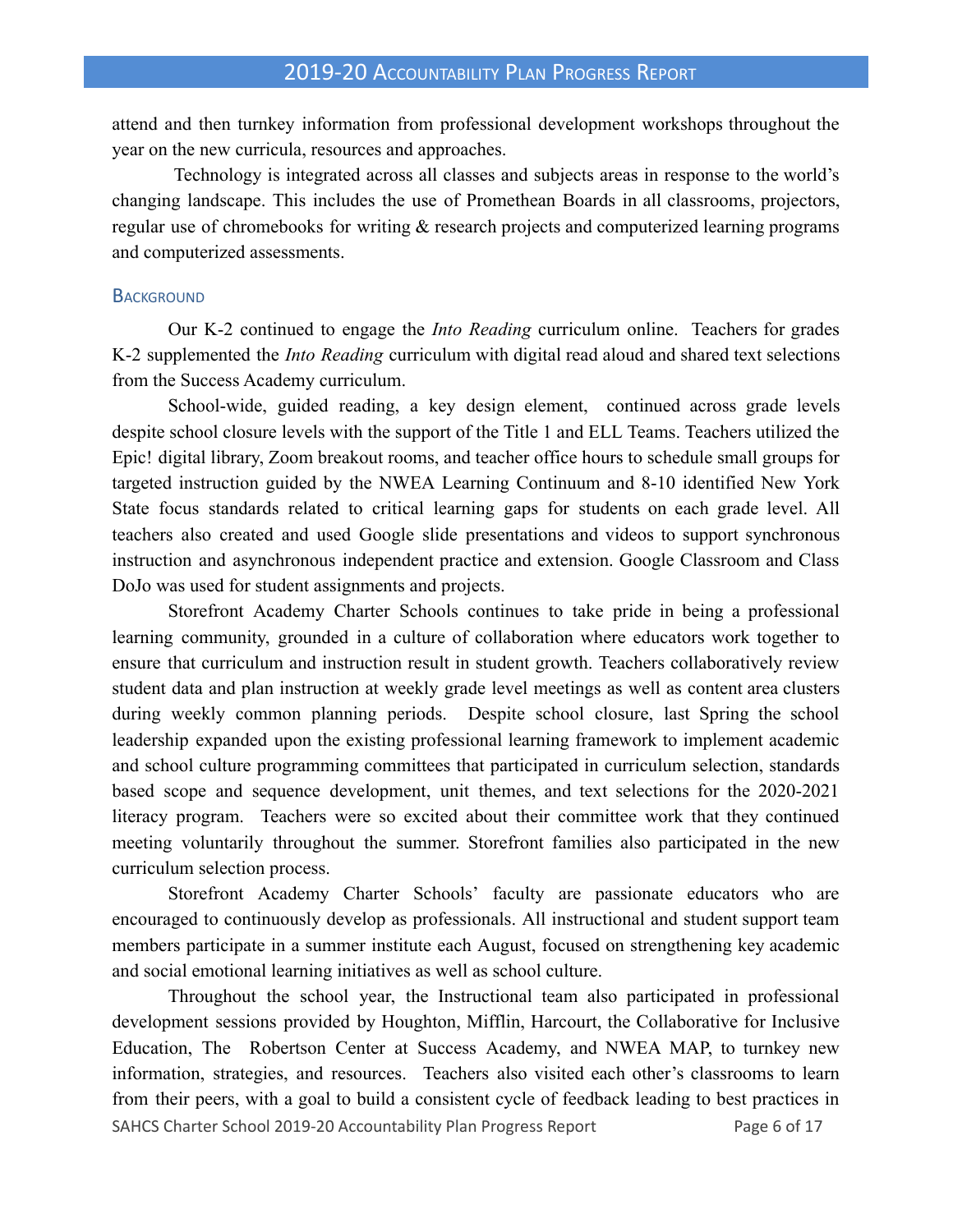attend and then turnkey information from professional development workshops throughout the year on the new curricula, resources and approaches.

Technology is integrated across all classes and subjects areas in response to the world's changing landscape. This includes the use of Promethean Boards in all classrooms, projectors, regular use of chromebooks for writing & research projects and computerized learning programs and computerized assessments.

#### **BACKGROUND**

Our K-2 continued to engage the *Into Reading* curriculum online. Teachers for grades K-2 supplemented the *Into Reading* curriculum with digital read aloud and shared text selections from the Success Academy curriculum.

School-wide, guided reading, a key design element, continued across grade levels despite school closure levels with the support of the Title 1 and ELL Teams. Teachers utilized the Epic! digital library, Zoom breakout rooms, and teacher office hours to schedule small groups for targeted instruction guided by the NWEA Learning Continuum and 8-10 identified New York State focus standards related to critical learning gaps for students on each grade level. All teachers also created and used Google slide presentations and videos to support synchronous instruction and asynchronous independent practice and extension. Google Classroom and Class DoJo was used for student assignments and projects.

Storefront Academy Charter Schools continues to take pride in being a professional learning community, grounded in a culture of collaboration where educators work together to ensure that curriculum and instruction result in student growth. Teachers collaboratively review student data and plan instruction at weekly grade level meetings as well as content area clusters during weekly common planning periods. Despite school closure, last Spring the school leadership expanded upon the existing professional learning framework to implement academic and school culture programming committees that participated in curriculum selection, standards based scope and sequence development, unit themes, and text selections for the 2020-2021 literacy program. Teachers were so excited about their committee work that they continued meeting voluntarily throughout the summer. Storefront families also participated in the new curriculum selection process.

Storefront Academy Charter Schools' faculty are passionate educators who are encouraged to continuously develop as professionals. All instructional and student support team members participate in a summer institute each August, focused on strengthening key academic and social emotional learning initiatives as well as school culture.

Throughout the school year, the Instructional team also participated in professional development sessions provided by Houghton, Mifflin, Harcourt, the Collaborative for Inclusive Education, The Robertson Center at Success Academy, and NWEA MAP, to turnkey new information, strategies, and resources. Teachers also visited each other's classrooms to learn from their peers, with a goal to build a consistent cycle of feedback leading to best practices in SAHCS Charter School 2019-20 Accountability Plan Progress Report Page 6 of 17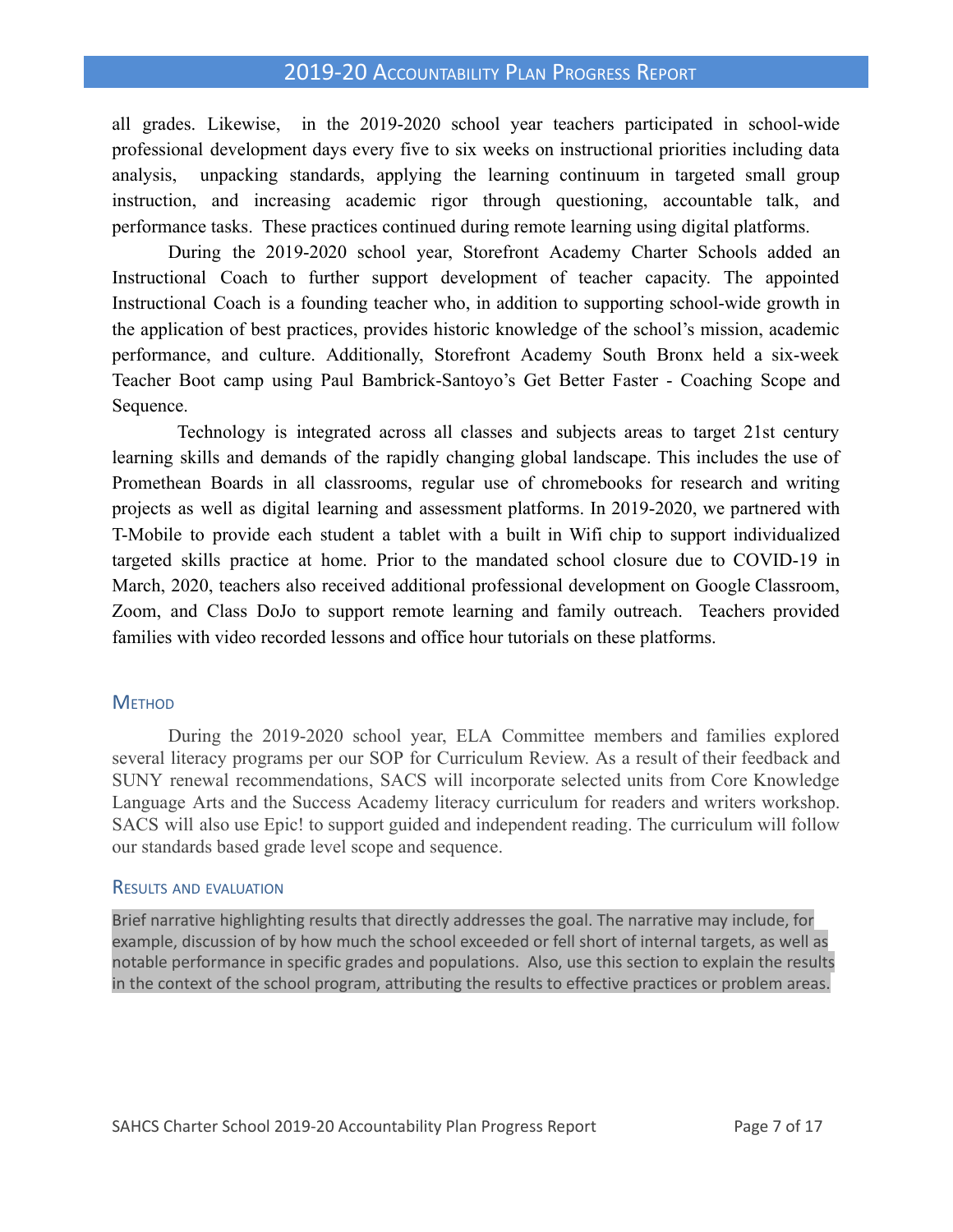all grades. Likewise, in the 2019-2020 school year teachers participated in school-wide professional development days every five to six weeks on instructional priorities including data analysis, unpacking standards, applying the learning continuum in targeted small group instruction, and increasing academic rigor through questioning, accountable talk, and performance tasks. These practices continued during remote learning using digital platforms.

During the 2019-2020 school year, Storefront Academy Charter Schools added an Instructional Coach to further support development of teacher capacity. The appointed Instructional Coach is a founding teacher who, in addition to supporting school-wide growth in the application of best practices, provides historic knowledge of the school's mission, academic performance, and culture. Additionally, Storefront Academy South Bronx held a six-week Teacher Boot camp using Paul Bambrick-Santoyo's Get Better Faster - Coaching Scope and Sequence.

Technology is integrated across all classes and subjects areas to target 21st century learning skills and demands of the rapidly changing global landscape. This includes the use of Promethean Boards in all classrooms, regular use of chromebooks for research and writing projects as well as digital learning and assessment platforms. In 2019-2020, we partnered with T-Mobile to provide each student a tablet with a built in Wifi chip to support individualized targeted skills practice at home. Prior to the mandated school closure due to COVID-19 in March, 2020, teachers also received additional professional development on Google Classroom, Zoom, and Class DoJo to support remote learning and family outreach. Teachers provided families with video recorded lessons and office hour tutorials on these platforms.

#### **METHOD**

During the 2019-2020 school year, ELA Committee members and families explored several literacy programs per our SOP for Curriculum Review. As a result of their feedback and SUNY renewal recommendations, SACS will incorporate selected units from Core Knowledge Language Arts and the Success Academy literacy curriculum for readers and writers workshop. SACS will also use Epic! to support guided and independent reading. The curriculum will follow our standards based grade level scope and sequence.

#### RESULTS AND EVALUATION

Brief narrative highlighting results that directly addresses the goal. The narrative may include, for example, discussion of by how much the school exceeded or fell short of internal targets, as well as notable performance in specific grades and populations. Also, use this section to explain the results in the context of the school program, attributing the results to effective practices or problem areas.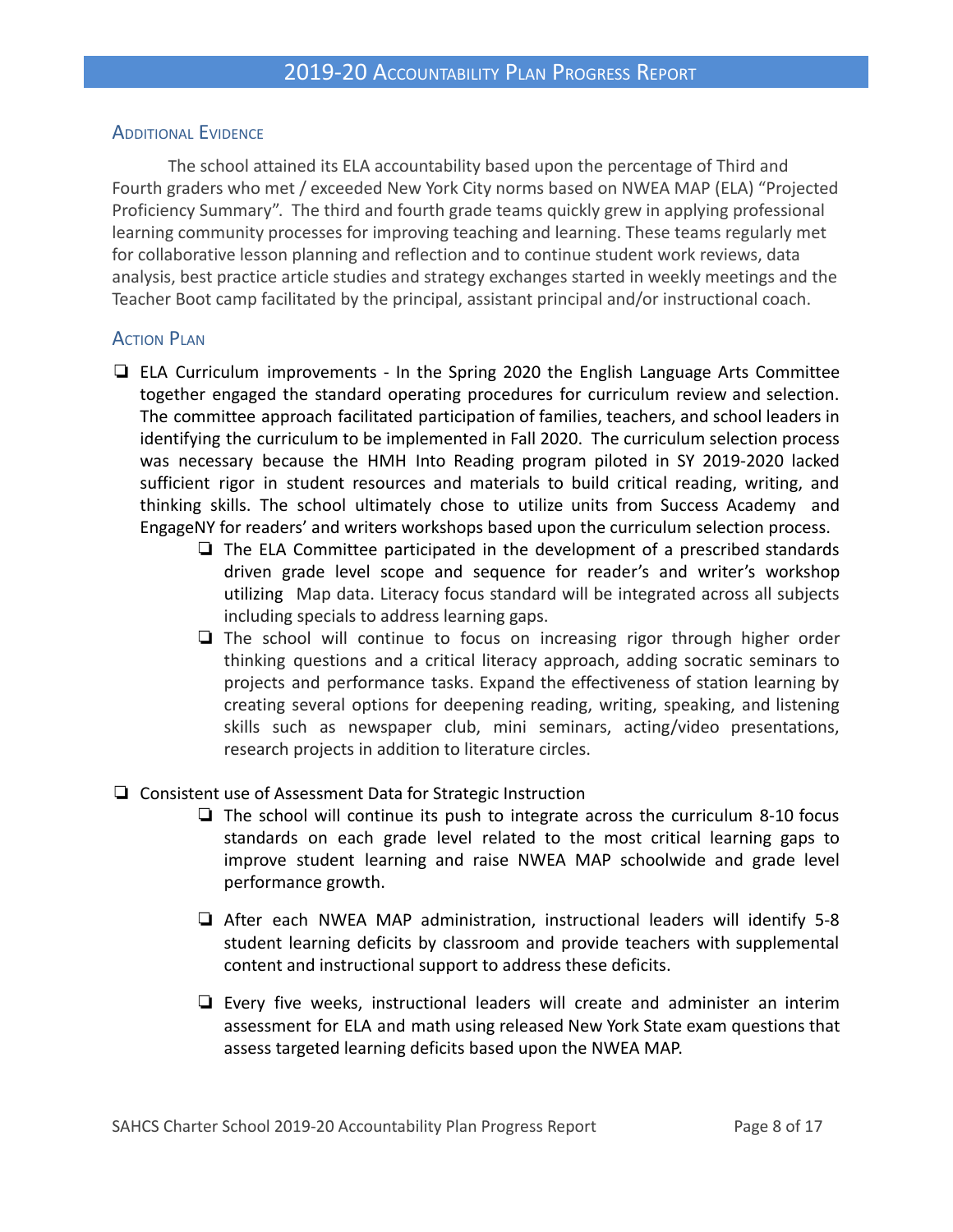#### ADDITIONAL EVIDENCE

The school attained its ELA accountability based upon the percentage of Third and Fourth graders who met / exceeded New York City norms based on NWEA MAP (ELA) "Projected Proficiency Summary". The third and fourth grade teams quickly grew in applying professional learning community processes for improving teaching and learning. These teams regularly met for collaborative lesson planning and reflection and to continue student work reviews, data analysis, best practice article studies and strategy exchanges started in weekly meetings and the Teacher Boot camp facilitated by the principal, assistant principal and/or instructional coach.

#### **ACTION PLAN**

- ❏ ELA Curriculum improvements In the Spring 2020 the English Language Arts Committee together engaged the standard operating procedures for curriculum review and selection. The committee approach facilitated participation of families, teachers, and school leaders in identifying the curriculum to be implemented in Fall 2020. The curriculum selection process was necessary because the HMH Into Reading program piloted in SY 2019-2020 lacked sufficient rigor in student resources and materials to build critical reading, writing, and thinking skills. The school ultimately chose to utilize units from Success Academy and EngageNY for readers' and writers workshops based upon the curriculum selection process.
	- ❏ The ELA Committee participated in the development of a prescribed standards driven grade level scope and sequence for reader's and writer's workshop utilizing Map data. Literacy focus standard will be integrated across all subjects including specials to address learning gaps.
	- ❏ The school will continue to focus on increasing rigor through higher order thinking questions and a critical literacy approach, adding socratic seminars to projects and performance tasks. Expand the effectiveness of station learning by creating several options for deepening reading, writing, speaking, and listening skills such as newspaper club, mini seminars, acting/video presentations, research projects in addition to literature circles.
- ❏ Consistent use of Assessment Data for Strategic Instruction
	- ❏ The school will continue its push to integrate across the curriculum 8-10 focus standards on each grade level related to the most critical learning gaps to improve student learning and raise NWEA MAP schoolwide and grade level performance growth.
	- ❏ After each NWEA MAP administration, instructional leaders will identify 5-8 student learning deficits by classroom and provide teachers with supplemental content and instructional support to address these deficits.
	- ❏ Every five weeks, instructional leaders will create and administer an interim assessment for ELA and math using released New York State exam questions that assess targeted learning deficits based upon the NWEA MAP.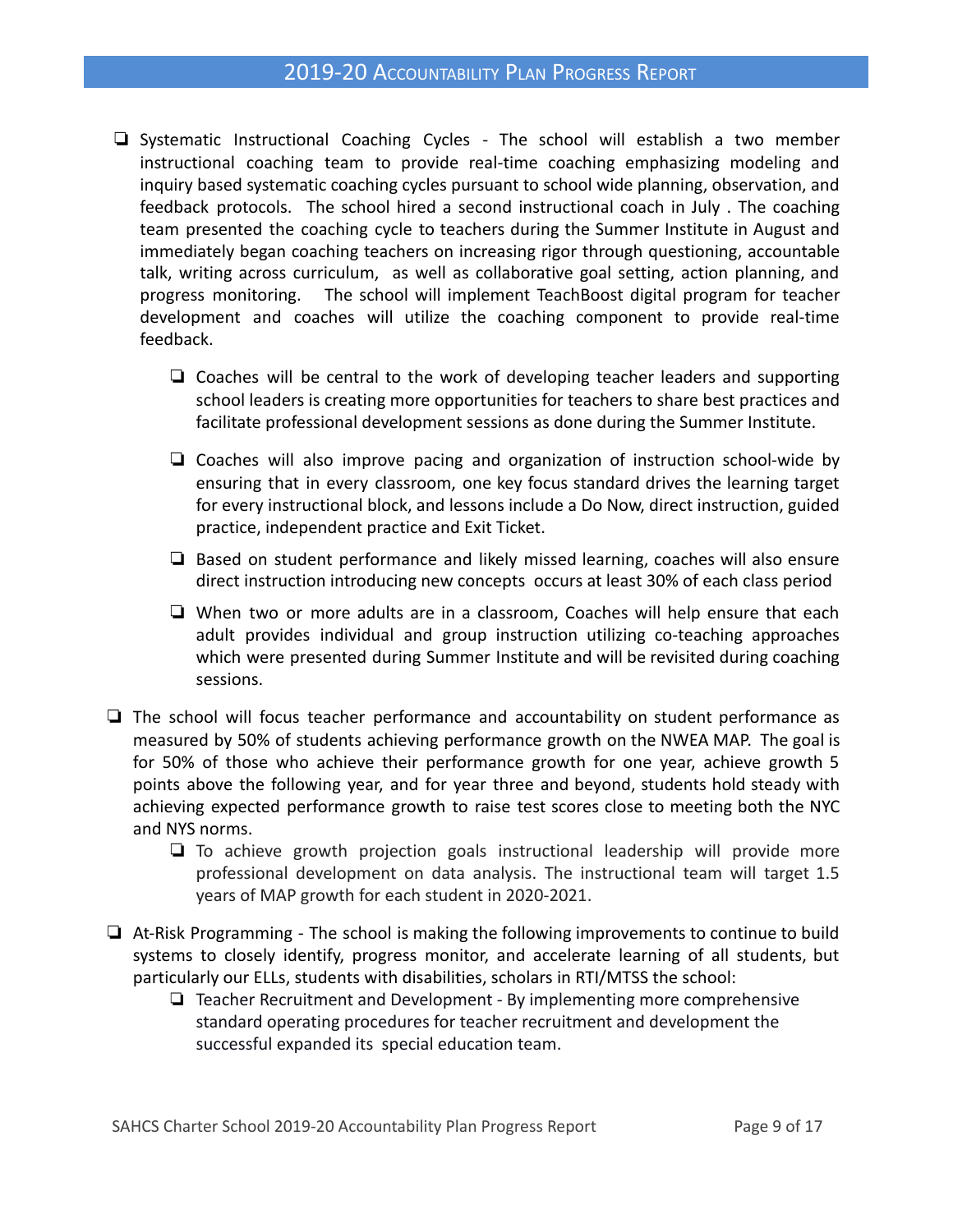- ❏ Systematic Instructional Coaching Cycles The school will establish a two member instructional coaching team to provide real-time coaching emphasizing modeling and inquiry based systematic coaching cycles pursuant to school wide planning, observation, and feedback protocols. The school hired a second instructional coach in July . The coaching team presented the coaching cycle to teachers during the Summer Institute in August and immediately began coaching teachers on increasing rigor through questioning, accountable talk, writing across curriculum, as well as collaborative goal setting, action planning, and progress monitoring. The school will implement TeachBoost digital program for teacher development and coaches will utilize the coaching component to provide real-time feedback.
	- ❏ Coaches will be central to the work of developing teacher leaders and supporting school leaders is creating more opportunities for teachers to share best practices and facilitate professional development sessions as done during the Summer Institute.
	- ❏ Coaches will also improve pacing and organization of instruction school-wide by ensuring that in every classroom, one key focus standard drives the learning target for every instructional block, and lessons include a Do Now, direct instruction, guided practice, independent practice and Exit Ticket.
	- ❏ Based on student performance and likely missed learning, coaches will also ensure direct instruction introducing new concepts occurs at least 30% of each class period
	- ❏ When two or more adults are in a classroom, Coaches will help ensure that each adult provides individual and group instruction utilizing co-teaching approaches which were presented during Summer Institute and will be revisited during coaching sessions.
- ❏ The school will focus teacher performance and accountability on student performance as measured by 50% of students achieving performance growth on the NWEA MAP. The goal is for 50% of those who achieve their performance growth for one year, achieve growth 5 points above the following year, and for year three and beyond, students hold steady with achieving expected performance growth to raise test scores close to meeting both the NYC and NYS norms.
	- ❏ To achieve growth projection goals instructional leadership will provide more professional development on data analysis. The instructional team will target 1.5 years of MAP growth for each student in 2020-2021.
- ❏ At-Risk Programming The school is making the following improvements to continue to build systems to closely identify, progress monitor, and accelerate learning of all students, but particularly our ELLs, students with disabilities, scholars in RTI/MTSS the school:
	- ❏ Teacher Recruitment and Development By implementing more comprehensive standard operating procedures for teacher recruitment and development the successful expanded its special education team.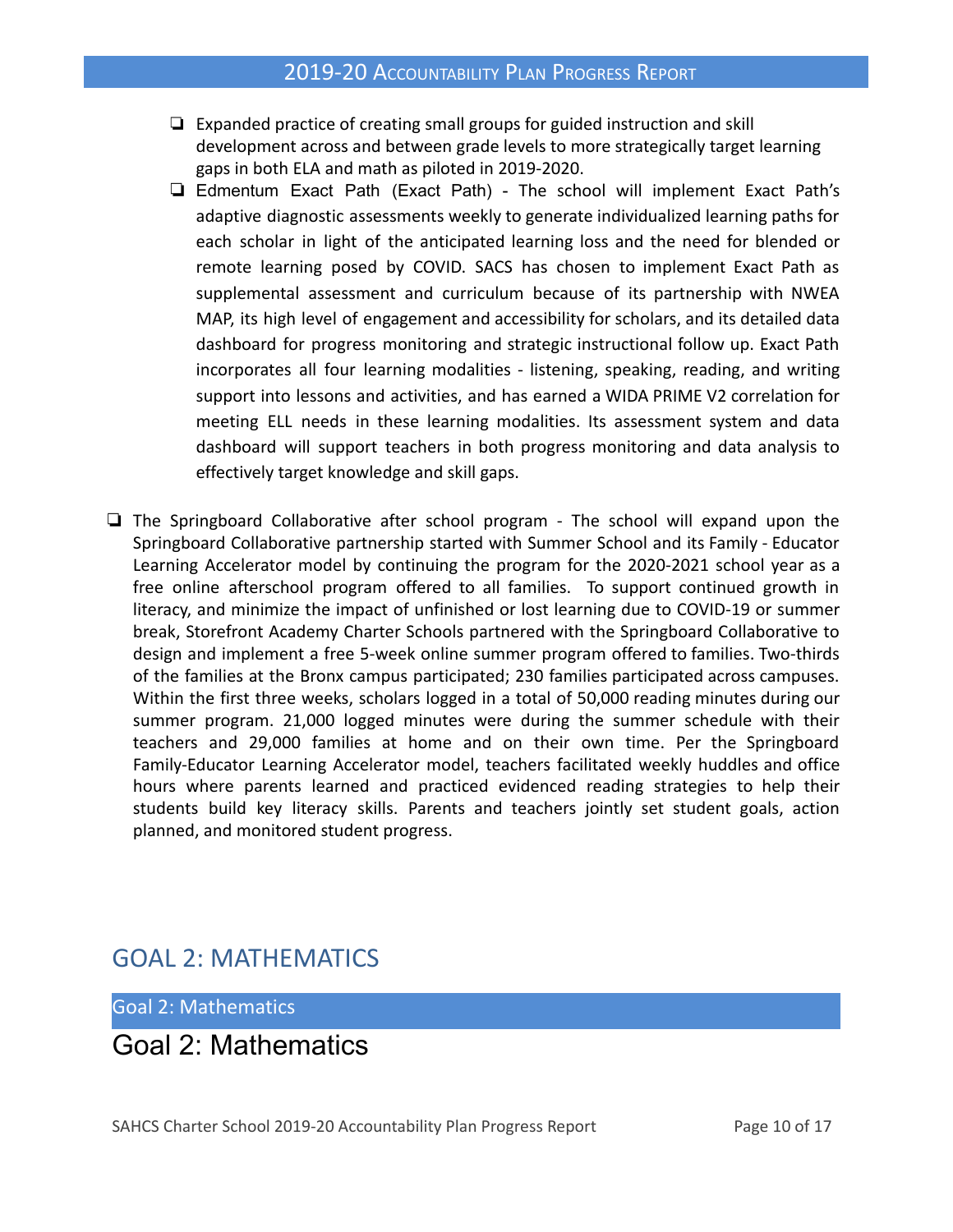- ❏ Expanded practice of creating small groups for guided instruction and skill development across and between grade levels to more strategically target learning gaps in both ELA and math as piloted in 2019-2020.
- ❏ Edmentum Exact Path (Exact Path) The school will implement Exact Path's adaptive diagnostic assessments weekly to generate individualized learning paths for each scholar in light of the anticipated learning loss and the need for blended or remote learning posed by COVID. SACS has chosen to implement Exact Path as supplemental assessment and curriculum because of its partnership with NWEA MAP, its high level of engagement and accessibility for scholars, and its detailed data dashboard for progress monitoring and strategic instructional follow up. Exact Path incorporates all four learning modalities - listening, speaking, reading, and writing support into lessons and activities, and has earned a WIDA PRIME V2 correlation for meeting ELL needs in these learning modalities. Its assessment system and data dashboard will support teachers in both progress monitoring and data analysis to effectively target knowledge and skill gaps.
- ❏ The Springboard Collaborative after school program The school will expand upon the Springboard Collaborative partnership started with Summer School and its Family - Educator Learning Accelerator model by continuing the program for the 2020-2021 school year as a free online afterschool program offered to all families. To support continued growth in literacy, and minimize the impact of unfinished or lost learning due to COVID-19 or summer break, Storefront Academy Charter Schools partnered with the Springboard Collaborative to design and implement a free 5-week online summer program offered to families. Two-thirds of the families at the Bronx campus participated; 230 families participated across campuses. Within the first three weeks, scholars logged in a total of 50,000 reading minutes during our summer program. 21,000 logged minutes were during the summer schedule with their teachers and 29,000 families at home and on their own time. Per the Springboard Family-Educator Learning Accelerator model, teachers facilitated weekly huddles and office hours where parents learned and practiced evidenced reading strategies to help their students build key literacy skills. Parents and teachers jointly set student goals, action planned, and monitored student progress.

# GOAL 2: MATHEMATICS

Goal 2: Mathematics

Goal 2: Mathematics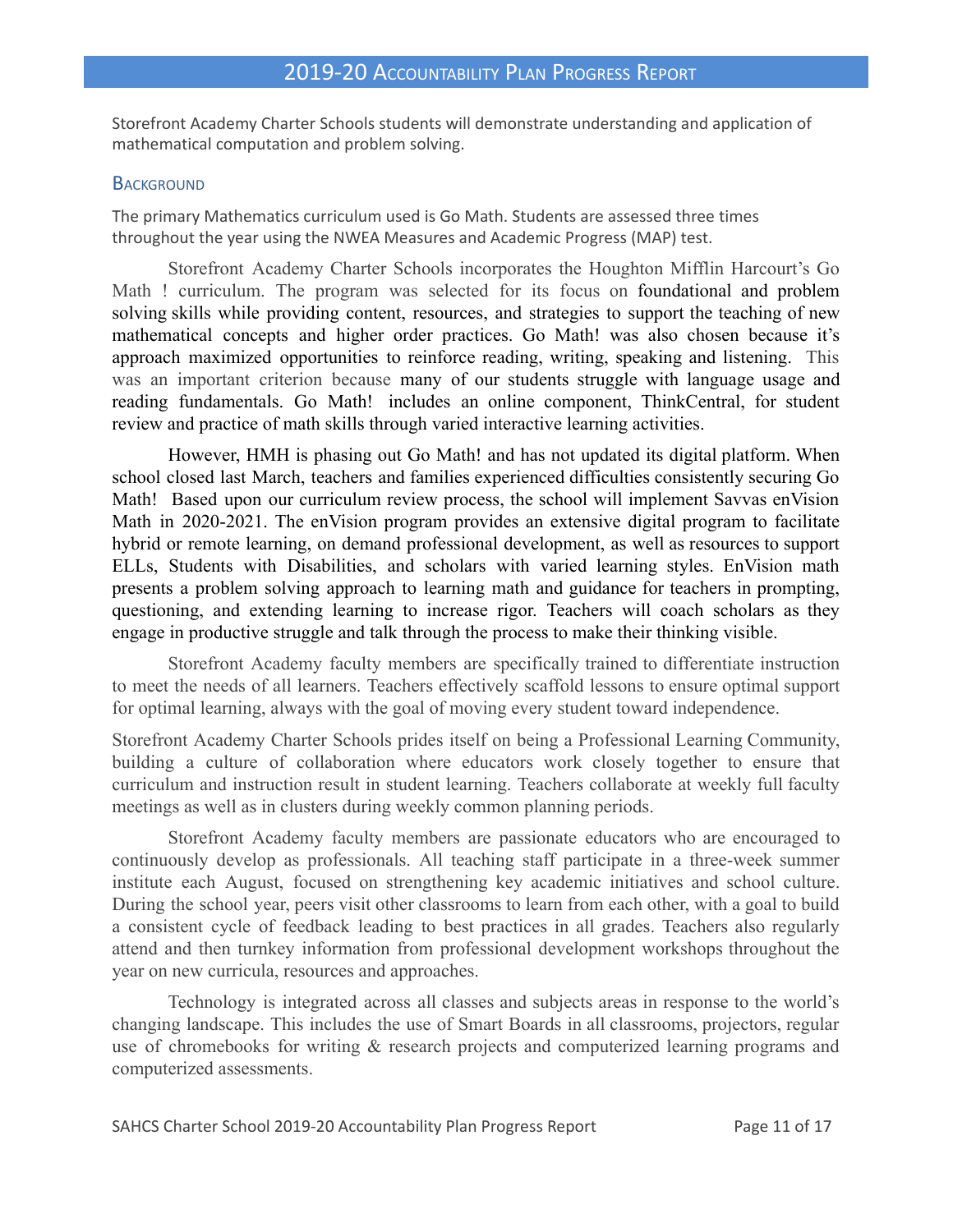Storefront Academy Charter Schools students will demonstrate understanding and application of mathematical computation and problem solving.

#### **BACKGROUND**

The primary Mathematics curriculum used is Go Math. Students are assessed three times throughout the year using the NWEA Measures and Academic Progress (MAP) test.

Storefront Academy Charter Schools incorporates the Houghton Mifflin Harcourt's Go Math ! curriculum. The program was selected for its focus on foundational and problem solving skills while providing content, resources, and strategies to support the teaching of new mathematical concepts and higher order practices. Go Math! was also chosen because it's approach maximized opportunities to reinforce reading, writing, speaking and listening. This was an important criterion because many of our students struggle with language usage and reading fundamentals. Go Math! includes an online component, ThinkCentral, for student review and practice of math skills through varied interactive learning activities.

However, HMH is phasing out Go Math! and has not updated its digital platform. When school closed last March, teachers and families experienced difficulties consistently securing Go Math! Based upon our curriculum review process, the school will implement Savvas enVision Math in 2020-2021. The enVision program provides an extensive digital program to facilitate hybrid or remote learning, on demand professional development, as well as resources to support ELLs, Students with Disabilities, and scholars with varied learning styles. EnVision math presents a problem solving approach to learning math and guidance for teachers in prompting, questioning, and extending learning to increase rigor. Teachers will coach scholars as they engage in productive struggle and talk through the process to make their thinking visible.

Storefront Academy faculty members are specifically trained to differentiate instruction to meet the needs of all learners. Teachers effectively scaffold lessons to ensure optimal support for optimal learning, always with the goal of moving every student toward independence.

Storefront Academy Charter Schools prides itself on being a Professional Learning Community, building a culture of collaboration where educators work closely together to ensure that curriculum and instruction result in student learning. Teachers collaborate at weekly full faculty meetings as well as in clusters during weekly common planning periods.

Storefront Academy faculty members are passionate educators who are encouraged to continuously develop as professionals. All teaching staff participate in a three-week summer institute each August, focused on strengthening key academic initiatives and school culture. During the school year, peers visit other classrooms to learn from each other, with a goal to build a consistent cycle of feedback leading to best practices in all grades. Teachers also regularly attend and then turnkey information from professional development workshops throughout the year on new curricula, resources and approaches.

Technology is integrated across all classes and subjects areas in response to the world's changing landscape. This includes the use of Smart Boards in all classrooms, projectors, regular use of chromebooks for writing & research projects and computerized learning programs and computerized assessments.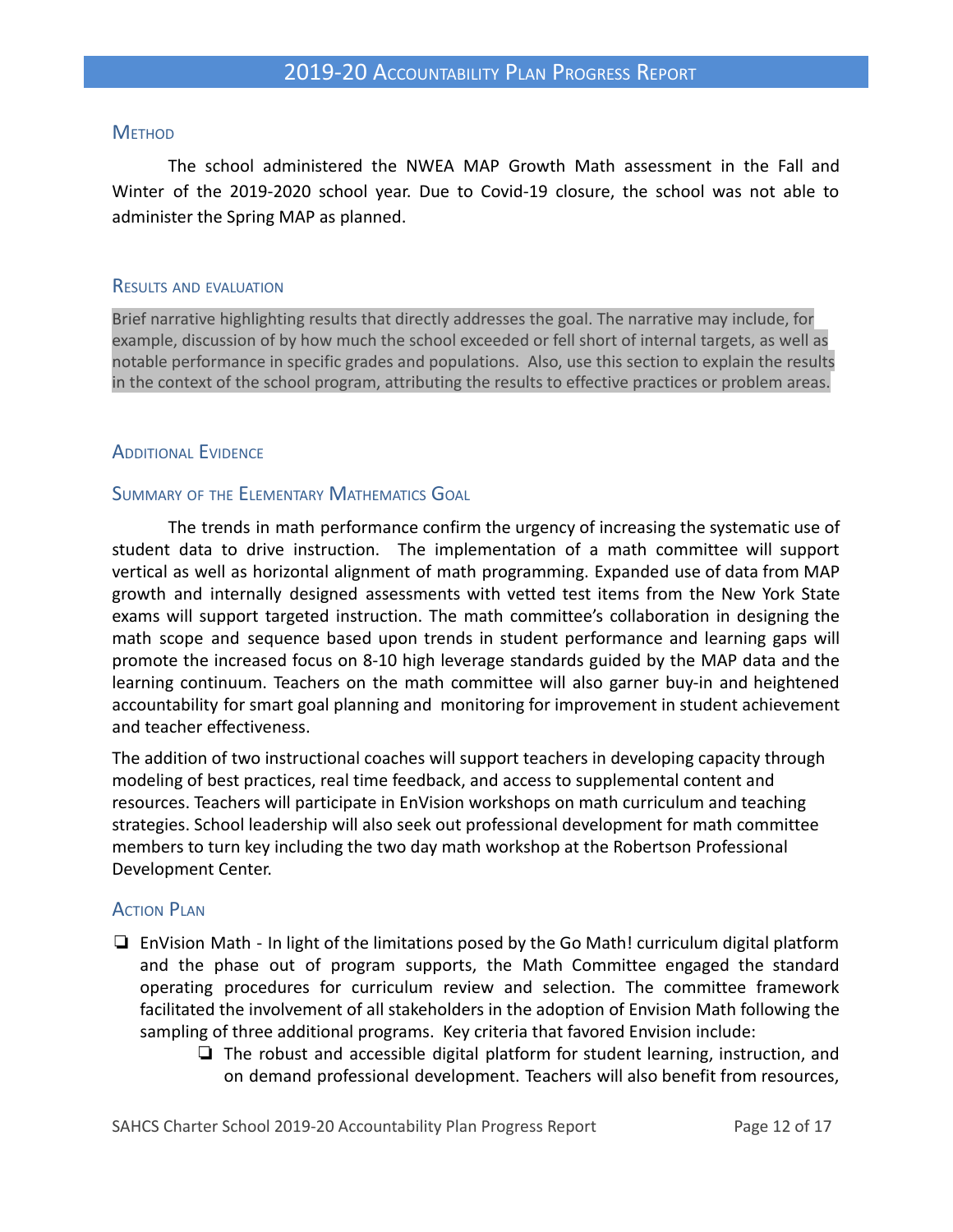#### **METHOD**

The school administered the NWEA MAP Growth Math assessment in the Fall and Winter of the 2019-2020 school year. Due to Covid-19 closure, the school was not able to administer the Spring MAP as planned.

#### RESULTS AND EVALUATION

Brief narrative highlighting results that directly addresses the goal. The narrative may include, for example, discussion of by how much the school exceeded or fell short of internal targets, as well as notable performance in specific grades and populations. Also, use this section to explain the results in the context of the school program, attributing the results to effective practices or problem areas.

#### **ADDITIONAL EVIDENCE**

#### SUMMARY OF THE ELEMENTARY MATHEMATICS GOAL

The trends in math performance confirm the urgency of increasing the systematic use of student data to drive instruction. The implementation of a math committee will support vertical as well as horizontal alignment of math programming. Expanded use of data from MAP growth and internally designed assessments with vetted test items from the New York State exams will support targeted instruction. The math committee's collaboration in designing the math scope and sequence based upon trends in student performance and learning gaps will promote the increased focus on 8-10 high leverage standards guided by the MAP data and the learning continuum. Teachers on the math committee will also garner buy-in and heightened accountability for smart goal planning and monitoring for improvement in student achievement and teacher effectiveness.

The addition of two instructional coaches will support teachers in developing capacity through modeling of best practices, real time feedback, and access to supplemental content and resources. Teachers will participate in EnVision workshops on math curriculum and teaching strategies. School leadership will also seek out professional development for math committee members to turn key including the two day math workshop at the Robertson Professional Development Center.

#### **ACTION PLAN**

- ❏ EnVision Math In light of the limitations posed by the Go Math! curriculum digital platform and the phase out of program supports, the Math Committee engaged the standard operating procedures for curriculum review and selection. The committee framework facilitated the involvement of all stakeholders in the adoption of Envision Math following the sampling of three additional programs. Key criteria that favored Envision include:
	- ❏ The robust and accessible digital platform for student learning, instruction, and on demand professional development. Teachers will also benefit from resources,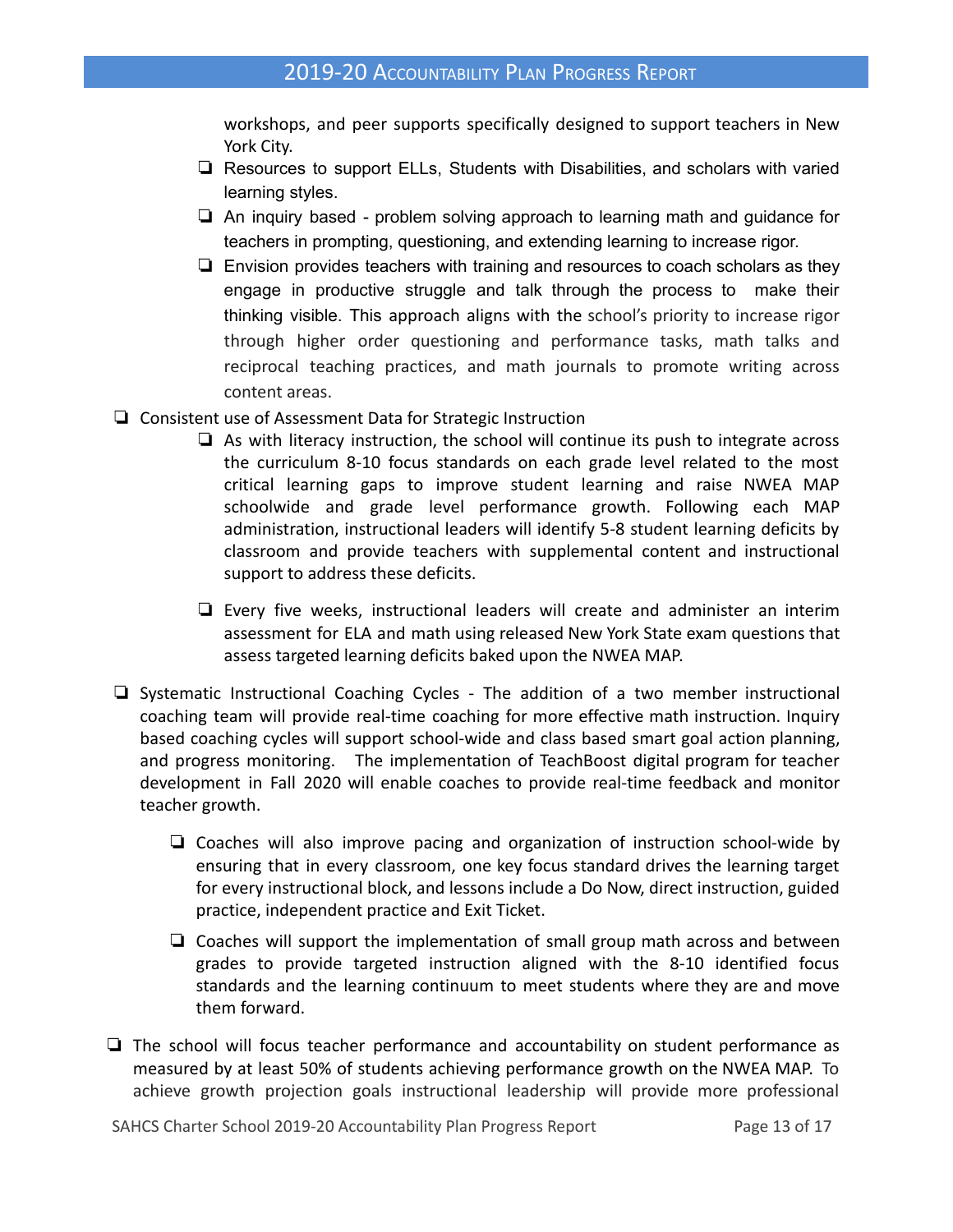workshops, and peer supports specifically designed to support teachers in New York City.

- ❏ Resources to support ELLs, Students with Disabilities, and scholars with varied learning styles.
- ❏ An inquiry based problem solving approach to learning math and guidance for teachers in prompting, questioning, and extending learning to increase rigor.
- ❏ Envision provides teachers with training and resources to coach scholars as they engage in productive struggle and talk through the process to make their thinking visible. This approach aligns with the school's priority to increase rigor through higher order questioning and performance tasks, math talks and reciprocal teaching practices, and math journals to promote writing across content areas.
- ❏ Consistent use of Assessment Data for Strategic Instruction
	- ❏ As with literacy instruction, the school will continue its push to integrate across the curriculum 8-10 focus standards on each grade level related to the most critical learning gaps to improve student learning and raise NWEA MAP schoolwide and grade level performance growth. Following each MAP administration, instructional leaders will identify 5-8 student learning deficits by classroom and provide teachers with supplemental content and instructional support to address these deficits.
	- ❏ Every five weeks, instructional leaders will create and administer an interim assessment for ELA and math using released New York State exam questions that assess targeted learning deficits baked upon the NWEA MAP.
- ❏ Systematic Instructional Coaching Cycles The addition of a two member instructional coaching team will provide real-time coaching for more effective math instruction. Inquiry based coaching cycles will support school-wide and class based smart goal action planning, and progress monitoring. The implementation of TeachBoost digital program for teacher development in Fall 2020 will enable coaches to provide real-time feedback and monitor teacher growth.
	- ❏ Coaches will also improve pacing and organization of instruction school-wide by ensuring that in every classroom, one key focus standard drives the learning target for every instructional block, and lessons include a Do Now, direct instruction, guided practice, independent practice and Exit Ticket.
	- ❏ Coaches will support the implementation of small group math across and between grades to provide targeted instruction aligned with the 8-10 identified focus standards and the learning continuum to meet students where they are and move them forward.
- ❏ The school will focus teacher performance and accountability on student performance as measured by at least 50% of students achieving performance growth on the NWEA MAP. To achieve growth projection goals instructional leadership will provide more professional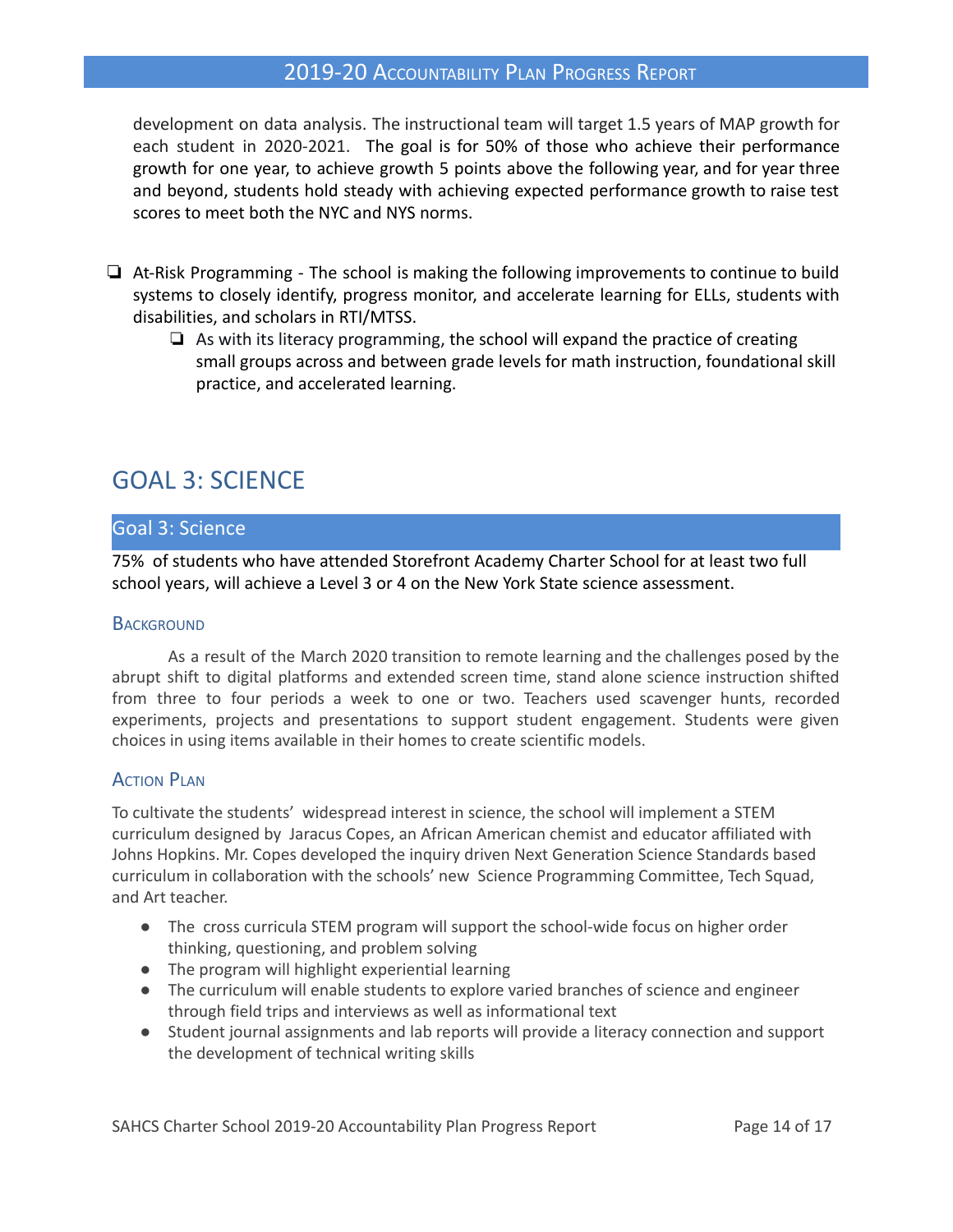development on data analysis. The instructional team will target 1.5 years of MAP growth for each student in 2020-2021. The goal is for 50% of those who achieve their performance growth for one year, to achieve growth 5 points above the following year, and for year three and beyond, students hold steady with achieving expected performance growth to raise test scores to meet both the NYC and NYS norms.

- ❏ At-Risk Programming The school is making the following improvements to continue to build systems to closely identify, progress monitor, and accelerate learning for ELLs, students with disabilities, and scholars in RTI/MTSS.
	- ❏ As with its literacy programming, the school will expand the practice of creating small groups across and between grade levels for math instruction, foundational skill practice, and accelerated learning.

# GOAL 3: SCIENCE

#### Goal 3: Science

75% of students who have attended Storefront Academy Charter School for at least two full school years, will achieve a Level 3 or 4 on the New York State science assessment.

#### **BACKGROUND**

As a result of the March 2020 transition to remote learning and the challenges posed by the abrupt shift to digital platforms and extended screen time, stand alone science instruction shifted from three to four periods a week to one or two. Teachers used scavenger hunts, recorded experiments, projects and presentations to support student engagement. Students were given choices in using items available in their homes to create scientific models.

#### **ACTION PLAN**

To cultivate the students' widespread interest in science, the school will implement a STEM curriculum designed by Jaracus Copes, an African American chemist and educator affiliated with Johns Hopkins. Mr. Copes developed the inquiry driven Next Generation Science Standards based curriculum in collaboration with the schools' new Science Programming Committee, Tech Squad, and Art teacher.

- The cross curricula STEM program will support the school-wide focus on higher order thinking, questioning, and problem solving
- The program will highlight experiential learning
- The curriculum will enable students to explore varied branches of science and engineer through field trips and interviews as well as informational text
- Student journal assignments and lab reports will provide a literacy connection and support the development of technical writing skills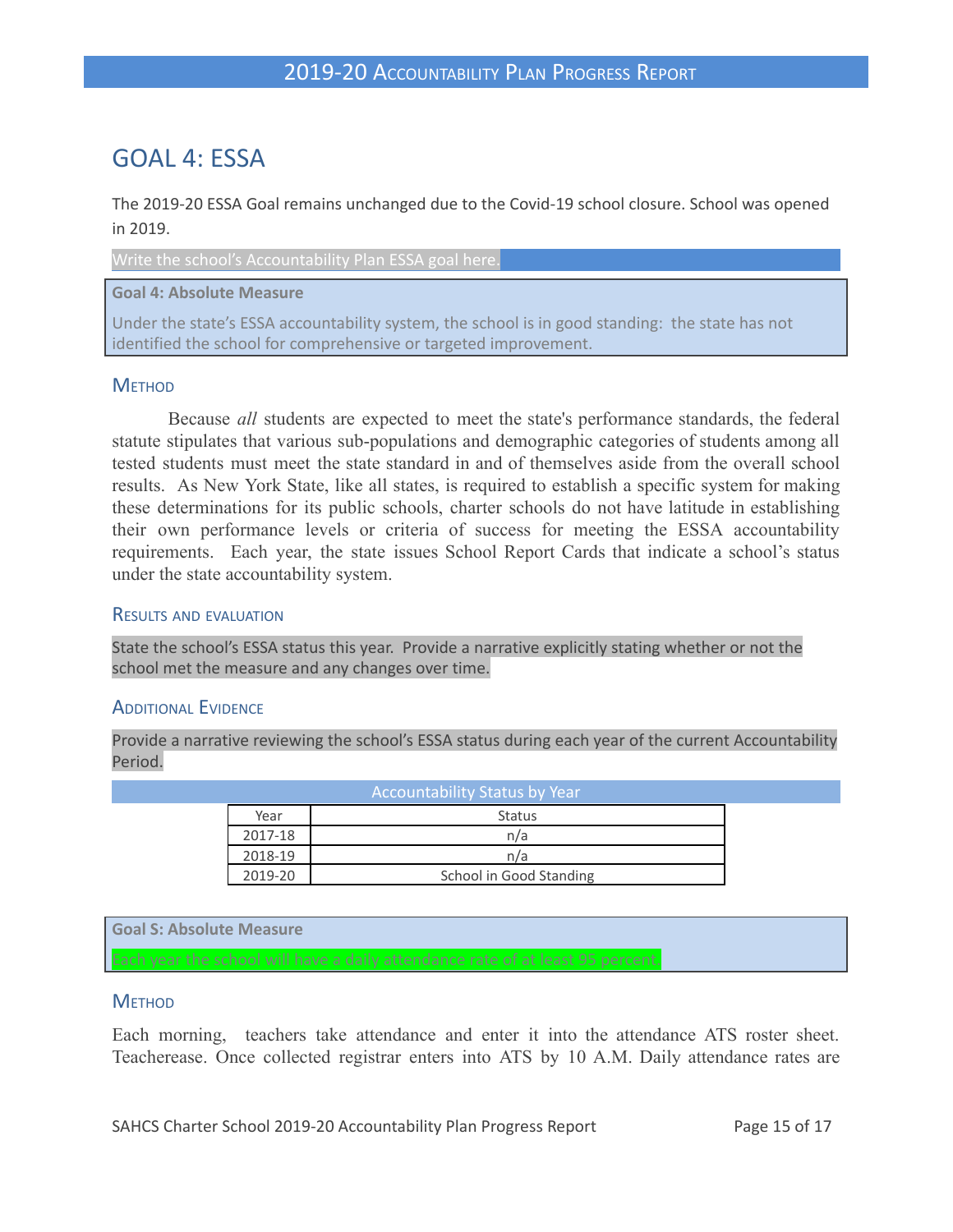# GOAL 4: ESSA

The 2019-20 ESSA Goal remains unchanged due to the Covid-19 school closure. School was opened in 2019.

Write the school's Accountability Plan ESSA goal here.

#### **Goal 4: Absolute Measure**

Under the state's ESSA accountability system, the school is in good standing: the state has not identified the school for comprehensive or targeted improvement.

#### **METHOD**

Because *all* students are expected to meet the state's performance standards, the federal statute stipulates that various sub-populations and demographic categories of students among all tested students must meet the state standard in and of themselves aside from the overall school results. As New York State, like all states, is required to establish a specific system for making these determinations for its public schools, charter schools do not have latitude in establishing their own performance levels or criteria of success for meeting the ESSA accountability requirements. Each year, the state issues School Report Cards that indicate a school's status under the state accountability system.

#### RESULTS AND EVALUATION

State the school's ESSA status this year. Provide a narrative explicitly stating whether or not the school met the measure and any changes over time.

#### ADDITIONAL EVIDENCE

Provide a narrative reviewing the school's ESSA status during each year of the current Accountability Period.

| <b>Accountability Status by Year</b> |                         |  |  |  |  |
|--------------------------------------|-------------------------|--|--|--|--|
| Year                                 | <b>Status</b>           |  |  |  |  |
| 2017-18                              | n/a                     |  |  |  |  |
| 2018-19                              | n/a                     |  |  |  |  |
| 2019-20                              | School in Good Standing |  |  |  |  |

**Goal S: Absolute Measure**

Each year the school will have a daily attendance rate of at least 95 percent.

#### **METHOD**

Each morning, teachers take attendance and enter it into the attendance ATS roster sheet. Teacherease. Once collected registrar enters into ATS by 10 A.M. Daily attendance rates are